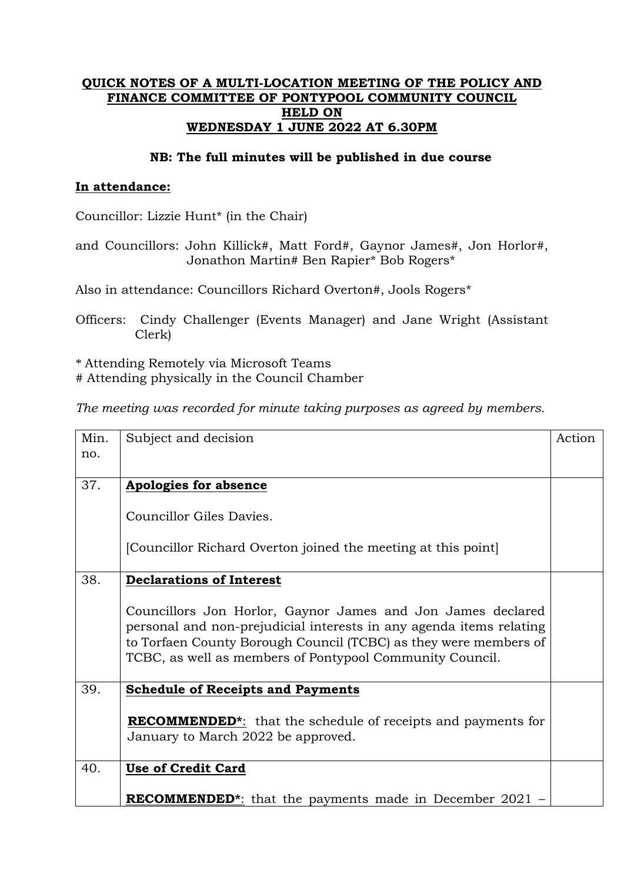## **QUICK NOTES OF A MULTI-LOCATION MEETING OF THE POLICY AND FINANCE COMMITTEE OF PONTYPOOL COMMUNITY COUNCIL HELD ON WEDNESDAY 1 JUNE 2022 AT 6.30PM**

## **NB: The full minutes will be published in due course**

## **In attendance:**

Councillor: Lizzie Hunt\* (in the Chair)

and Councillors: John Killick#, Matt Ford#, Gaynor James#, Jon Horlor#, Jonathon Martin# Ben Rapier\* Bob Rogers\*

Also in attendance: Councillors Richard Overton#, Jools Rogers\*

Officers: Cindy Challenger (Events Manager) and Jane Wright (Assistant Clerk)

\* Attending Remotely via Microsoft Teams

# Attending physically in the Council Chamber

*The meeting was recorded for minute taking purposes as agreed by members.*

| Min. | Subject and decision                                                                                                                                                                                                                                               | Action |
|------|--------------------------------------------------------------------------------------------------------------------------------------------------------------------------------------------------------------------------------------------------------------------|--------|
| no.  |                                                                                                                                                                                                                                                                    |        |
| 37.  | <b>Apologies for absence</b>                                                                                                                                                                                                                                       |        |
|      |                                                                                                                                                                                                                                                                    |        |
|      | Councillor Giles Davies.                                                                                                                                                                                                                                           |        |
|      | [Councillor Richard Overton joined the meeting at this point]                                                                                                                                                                                                      |        |
| 38.  | <b>Declarations of Interest</b>                                                                                                                                                                                                                                    |        |
|      | Councillors Jon Horlor, Gaynor James and Jon James declared<br>personal and non-prejudicial interests in any agenda items relating<br>to Torfaen County Borough Council (TCBC) as they were members of<br>TCBC, as well as members of Pontypool Community Council. |        |
| 39.  | <b>Schedule of Receipts and Payments</b>                                                                                                                                                                                                                           |        |
|      | <b>RECOMMENDED</b> <sup>*</sup> : that the schedule of receipts and payments for<br>January to March 2022 be approved.                                                                                                                                             |        |
| 40.  | <b>Use of Credit Card</b>                                                                                                                                                                                                                                          |        |
|      | <b>RECOMMENDED</b> <sup>*</sup> : that the payments made in December 2021 –                                                                                                                                                                                        |        |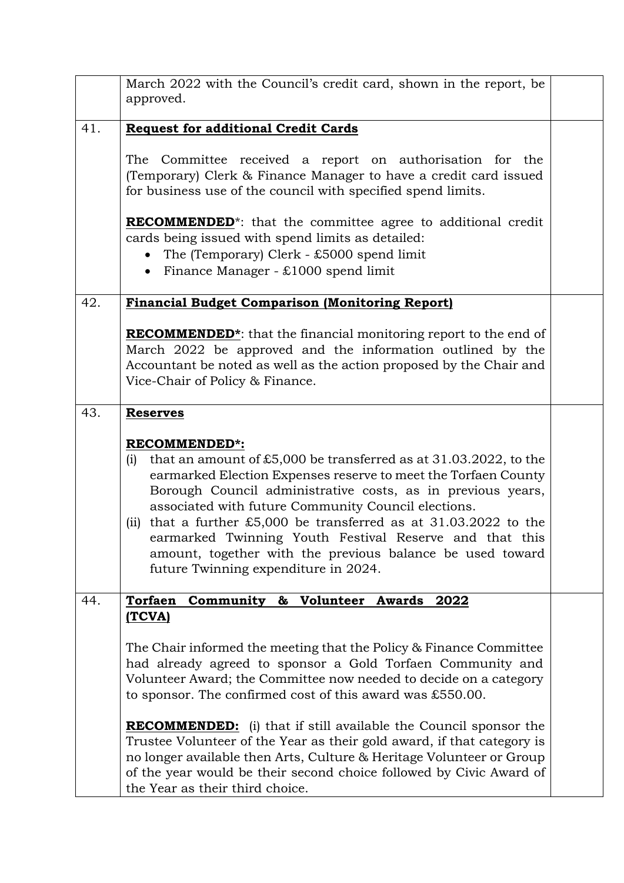|     | March 2022 with the Council's credit card, shown in the report, be<br>approved.                                                                                                                                                                                                                                                                                                                                                                                                                                                                                                                                     |  |
|-----|---------------------------------------------------------------------------------------------------------------------------------------------------------------------------------------------------------------------------------------------------------------------------------------------------------------------------------------------------------------------------------------------------------------------------------------------------------------------------------------------------------------------------------------------------------------------------------------------------------------------|--|
| 41. | <b>Request for additional Credit Cards</b>                                                                                                                                                                                                                                                                                                                                                                                                                                                                                                                                                                          |  |
|     | The Committee received a report on authorisation for the<br>(Temporary) Clerk & Finance Manager to have a credit card issued<br>for business use of the council with specified spend limits.                                                                                                                                                                                                                                                                                                                                                                                                                        |  |
|     | <b>RECOMMENDED</b> <sup>*</sup> : that the committee agree to additional credit<br>cards being issued with spend limits as detailed:<br>The (Temporary) Clerk - $£5000$ spend limit<br>• Finance Manager - $£1000$ spend limit                                                                                                                                                                                                                                                                                                                                                                                      |  |
| 42. | <b>Financial Budget Comparison (Monitoring Report)</b>                                                                                                                                                                                                                                                                                                                                                                                                                                                                                                                                                              |  |
|     | <b>RECOMMENDED</b> <sup>*</sup> : that the financial monitoring report to the end of<br>March 2022 be approved and the information outlined by the<br>Accountant be noted as well as the action proposed by the Chair and<br>Vice-Chair of Policy & Finance.                                                                                                                                                                                                                                                                                                                                                        |  |
| 43. | <b>Reserves</b>                                                                                                                                                                                                                                                                                                                                                                                                                                                                                                                                                                                                     |  |
|     | <b>RECOMMENDED*:</b><br>that an amount of £5,000 be transferred as at $31.03.2022$ , to the<br>(i)<br>earmarked Election Expenses reserve to meet the Torfaen County<br>Borough Council administrative costs, as in previous years,<br>associated with future Community Council elections.<br>(ii) that a further £5,000 be transferred as at $31.03.2022$ to the<br>earmarked Twinning Youth Festival Reserve and that this<br>amount, together with the previous balance be used toward<br>future Twinning expenditure in 2024.                                                                                   |  |
| 44. | <b>Torfaen</b><br>Community & Volunteer Awards 2022                                                                                                                                                                                                                                                                                                                                                                                                                                                                                                                                                                 |  |
|     | (TCVA)<br>The Chair informed the meeting that the Policy & Finance Committee<br>had already agreed to sponsor a Gold Torfaen Community and<br>Volunteer Award; the Committee now needed to decide on a category<br>to sponsor. The confirmed cost of this award was £550.00.<br><b>RECOMMENDED:</b> (i) that if still available the Council sponsor the<br>Trustee Volunteer of the Year as their gold award, if that category is<br>no longer available then Arts, Culture & Heritage Volunteer or Group<br>of the year would be their second choice followed by Civic Award of<br>the Year as their third choice. |  |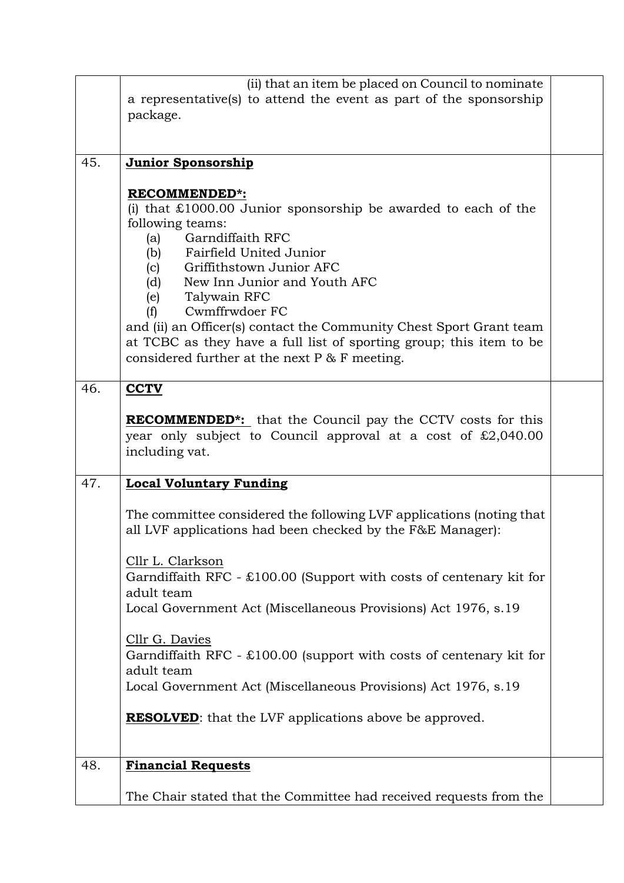|     | (ii) that an item be placed on Council to nominate                                 |  |  |
|-----|------------------------------------------------------------------------------------|--|--|
|     | a representative(s) to attend the event as part of the sponsorship                 |  |  |
|     | package.                                                                           |  |  |
|     |                                                                                    |  |  |
|     |                                                                                    |  |  |
| 45. | Junior Sponsorship                                                                 |  |  |
|     |                                                                                    |  |  |
|     | <b>RECOMMENDED*:</b>                                                               |  |  |
|     | (i) that $\text{\pounds}1000.00$ Junior sponsorship be awarded to each of the      |  |  |
|     | following teams:                                                                   |  |  |
|     | Garndiffaith RFC<br>(a)                                                            |  |  |
|     | (b) Fairfield United Junior                                                        |  |  |
|     | Griffithstown Junior AFC<br>(c)                                                    |  |  |
|     | New Inn Junior and Youth AFC<br>(d)                                                |  |  |
|     | Talywain RFC<br>(e)                                                                |  |  |
|     | Cwmffrwdoer FC<br>(f)                                                              |  |  |
|     | and (ii) an Officer(s) contact the Community Chest Sport Grant team                |  |  |
|     | at TCBC as they have a full list of sporting group; this item to be                |  |  |
|     | considered further at the next $P \& F$ meeting.                                   |  |  |
|     |                                                                                    |  |  |
| 46. | <b>CCTV</b>                                                                        |  |  |
|     |                                                                                    |  |  |
|     | <b>RECOMMENDED<sup>*</sup>:</b> that the Council pay the CCTV costs for this       |  |  |
|     | year only subject to Council approval at a cost of $\text{\pounds}2,040.00$        |  |  |
|     | including vat.                                                                     |  |  |
|     |                                                                                    |  |  |
| 47. | <b>Local Voluntary Funding</b>                                                     |  |  |
|     |                                                                                    |  |  |
|     | The committee considered the following LVF applications (noting that               |  |  |
|     | all LVF applications had been checked by the F&E Manager):                         |  |  |
|     |                                                                                    |  |  |
|     | Cllr L. Clarkson                                                                   |  |  |
|     | Garndiffaith RFC - $\text{\pounds}100.00$ (Support with costs of centenary kit for |  |  |
|     | adult team                                                                         |  |  |
|     |                                                                                    |  |  |
|     | Local Government Act (Miscellaneous Provisions) Act 1976, s.19                     |  |  |
|     |                                                                                    |  |  |
|     | Cllr G. Davies                                                                     |  |  |
|     | Garndiffaith RFC - $\text{\pounds}100.00$ (support with costs of centenary kit for |  |  |
|     | adult team                                                                         |  |  |
|     | Local Government Act (Miscellaneous Provisions) Act 1976, s.19                     |  |  |
|     |                                                                                    |  |  |
|     | <b>RESOLVED:</b> that the LVF applications above be approved.                      |  |  |
|     |                                                                                    |  |  |
|     |                                                                                    |  |  |
| 48. | <b>Financial Requests</b>                                                          |  |  |
|     |                                                                                    |  |  |
|     | The Chair stated that the Committee had received requests from the                 |  |  |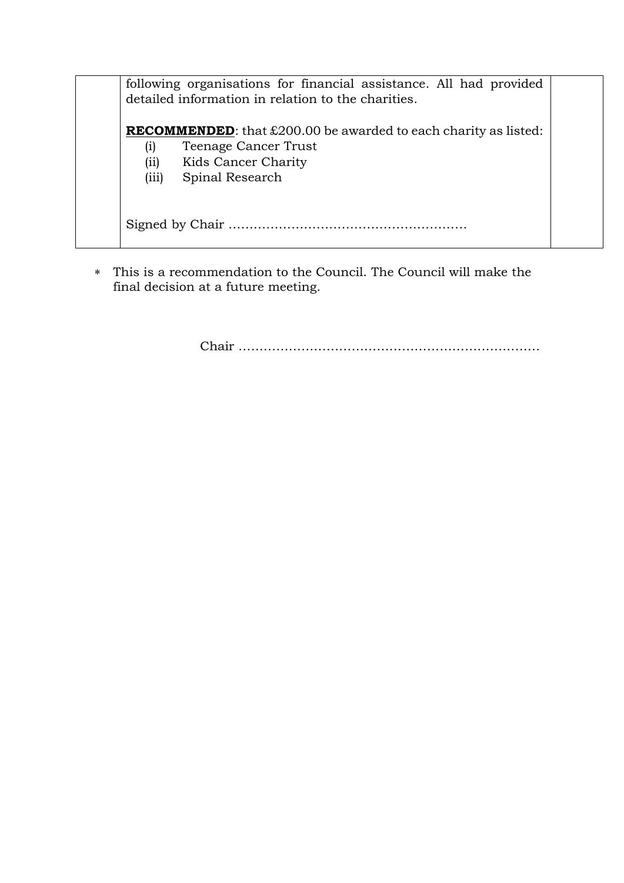|                                    | following organisations for financial assistance. All had provided<br>detailed information in relation to the charities.                                |  |  |
|------------------------------------|---------------------------------------------------------------------------------------------------------------------------------------------------------|--|--|
| $\left( i\right)$<br>(ii)<br>(iii) | <b>RECOMMENDED:</b> that $\text{\pounds}200.00$ be awarded to each charity as listed:<br>Teenage Cancer Trust<br>Kids Cancer Charity<br>Spinal Research |  |  |
|                                    |                                                                                                                                                         |  |  |

 This is a recommendation to the Council. The Council will make the final decision at a future meeting.

Chair ………………………………………………………………